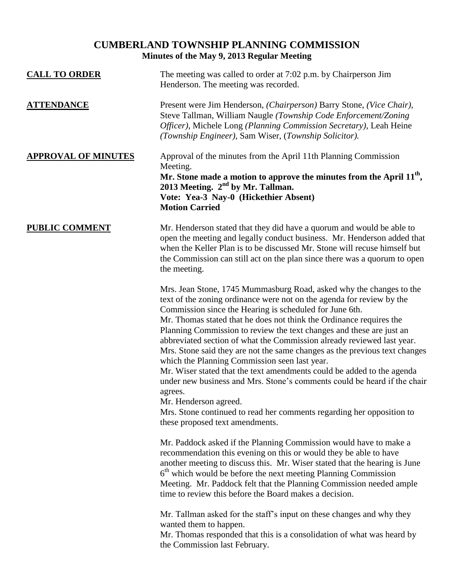# **CUMBERLAND TOWNSHIP PLANNING COMMISSION Minutes of the May 9, 2013 Regular Meeting**

| <b>CALL TO ORDER</b>       | The meeting was called to order at 7:02 p.m. by Chairperson Jim<br>Henderson. The meeting was recorded.                                                                                                                                                                                                                                                                                                                                                                                                                                                                                                                                                                                                                                                                                                                                                               |
|----------------------------|-----------------------------------------------------------------------------------------------------------------------------------------------------------------------------------------------------------------------------------------------------------------------------------------------------------------------------------------------------------------------------------------------------------------------------------------------------------------------------------------------------------------------------------------------------------------------------------------------------------------------------------------------------------------------------------------------------------------------------------------------------------------------------------------------------------------------------------------------------------------------|
| <b>ATTENDANCE</b>          | Present were Jim Henderson, (Chairperson) Barry Stone, (Vice Chair),<br>Steve Tallman, William Naugle (Township Code Enforcement/Zoning<br>Officer), Michele Long (Planning Commission Secretary), Leah Heine<br>(Township Engineer), Sam Wiser, (Township Solicitor).                                                                                                                                                                                                                                                                                                                                                                                                                                                                                                                                                                                                |
| <b>APPROVAL OF MINUTES</b> | Approval of the minutes from the April 11th Planning Commission<br>Meeting.<br>Mr. Stone made a motion to approve the minutes from the April $11th$ ,<br>2013 Meeting. $2nd$ by Mr. Tallman.<br>Vote: Yea-3 Nay-0 (Hickethier Absent)<br><b>Motion Carried</b>                                                                                                                                                                                                                                                                                                                                                                                                                                                                                                                                                                                                        |
| <b>PUBLIC COMMENT</b>      | Mr. Henderson stated that they did have a quorum and would be able to<br>open the meeting and legally conduct business. Mr. Henderson added that<br>when the Keller Plan is to be discussed Mr. Stone will recuse himself but<br>the Commission can still act on the plan since there was a quorum to open<br>the meeting.                                                                                                                                                                                                                                                                                                                                                                                                                                                                                                                                            |
|                            | Mrs. Jean Stone, 1745 Mummasburg Road, asked why the changes to the<br>text of the zoning ordinance were not on the agenda for review by the<br>Commission since the Hearing is scheduled for June 6th.<br>Mr. Thomas stated that he does not think the Ordinance requires the<br>Planning Commission to review the text changes and these are just an<br>abbreviated section of what the Commission already reviewed last year.<br>Mrs. Stone said they are not the same changes as the previous text changes<br>which the Planning Commission seen last year.<br>Mr. Wiser stated that the text amendments could be added to the agenda<br>under new business and Mrs. Stone's comments could be heard if the chair<br>agrees.<br>Mr. Henderson agreed.<br>Mrs. Stone continued to read her comments regarding her opposition to<br>these proposed text amendments. |
|                            | Mr. Paddock asked if the Planning Commission would have to make a<br>recommendation this evening on this or would they be able to have<br>another meeting to discuss this. Mr. Wiser stated that the hearing is June<br>$6th$ which would be before the next meeting Planning Commission<br>Meeting. Mr. Paddock felt that the Planning Commission needed ample<br>time to review this before the Board makes a decision.                                                                                                                                                                                                                                                                                                                                                                                                                                             |
|                            | Mr. Tallman asked for the staff's input on these changes and why they<br>wanted them to happen.<br>Mr. Thomas responded that this is a consolidation of what was heard by<br>the Commission last February.                                                                                                                                                                                                                                                                                                                                                                                                                                                                                                                                                                                                                                                            |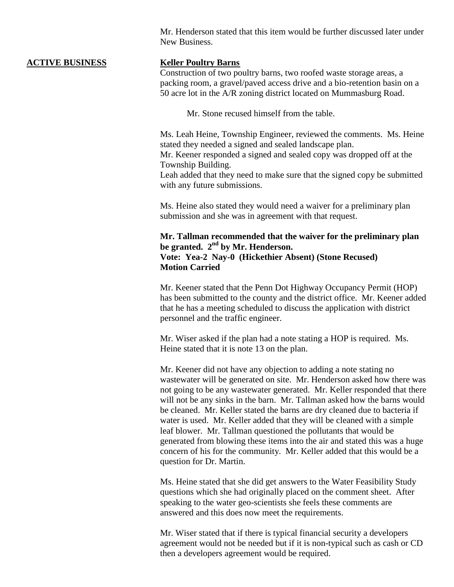Mr. Henderson stated that this item would be further discussed later under New Business.

### **ACTIVE BUSINESS Keller Poultry Barns**

Construction of two poultry barns, two roofed waste storage areas, a packing room, a gravel/paved access drive and a bio-retention basin on a 50 acre lot in the A/R zoning district located on Mummasburg Road.

Mr. Stone recused himself from the table.

Ms. Leah Heine, Township Engineer, reviewed the comments. Ms. Heine stated they needed a signed and sealed landscape plan.

Mr. Keener responded a signed and sealed copy was dropped off at the Township Building.

Leah added that they need to make sure that the signed copy be submitted with any future submissions.

Ms. Heine also stated they would need a waiver for a preliminary plan submission and she was in agreement with that request.

# **Mr. Tallman recommended that the waiver for the preliminary plan be granted. 2nd by Mr. Henderson. Vote: Yea-2 Nay-0 (Hickethier Absent) (Stone Recused) Motion Carried**

Mr. Keener stated that the Penn Dot Highway Occupancy Permit (HOP) has been submitted to the county and the district office. Mr. Keener added that he has a meeting scheduled to discuss the application with district personnel and the traffic engineer.

Mr. Wiser asked if the plan had a note stating a HOP is required. Ms. Heine stated that it is note 13 on the plan.

Mr. Keener did not have any objection to adding a note stating no wastewater will be generated on site. Mr. Henderson asked how there was not going to be any wastewater generated. Mr. Keller responded that there will not be any sinks in the barn. Mr. Tallman asked how the barns would be cleaned. Mr. Keller stated the barns are dry cleaned due to bacteria if water is used. Mr. Keller added that they will be cleaned with a simple leaf blower. Mr. Tallman questioned the pollutants that would be generated from blowing these items into the air and stated this was a huge concern of his for the community. Mr. Keller added that this would be a question for Dr. Martin.

Ms. Heine stated that she did get answers to the Water Feasibility Study questions which she had originally placed on the comment sheet. After speaking to the water geo-scientists she feels these comments are answered and this does now meet the requirements.

Mr. Wiser stated that if there is typical financial security a developers agreement would not be needed but if it is non-typical such as cash or CD then a developers agreement would be required.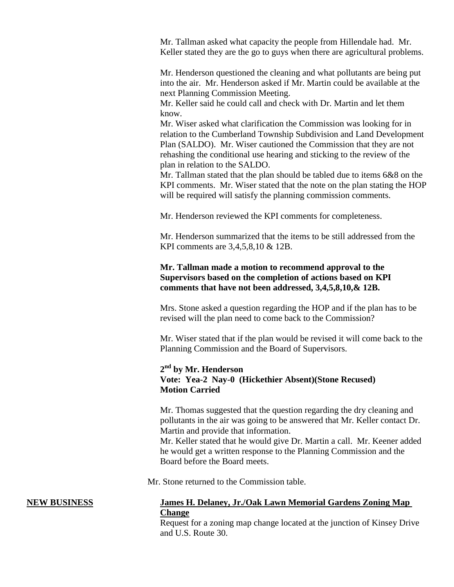Mr. Tallman asked what capacity the people from Hillendale had. Mr. Keller stated they are the go to guys when there are agricultural problems.

Mr. Henderson questioned the cleaning and what pollutants are being put into the air. Mr. Henderson asked if Mr. Martin could be available at the next Planning Commission Meeting.

Mr. Keller said he could call and check with Dr. Martin and let them know.

Mr. Wiser asked what clarification the Commission was looking for in relation to the Cumberland Township Subdivision and Land Development Plan (SALDO). Mr. Wiser cautioned the Commission that they are not rehashing the conditional use hearing and sticking to the review of the plan in relation to the SALDO.

Mr. Tallman stated that the plan should be tabled due to items 6&8 on the KPI comments. Mr. Wiser stated that the note on the plan stating the HOP will be required will satisfy the planning commission comments.

Mr. Henderson reviewed the KPI comments for completeness.

Mr. Henderson summarized that the items to be still addressed from the KPI comments are 3,4,5,8,10 & 12B.

# **Mr. Tallman made a motion to recommend approval to the Supervisors based on the completion of actions based on KPI comments that have not been addressed, 3,4,5,8,10,& 12B.**

Mrs. Stone asked a question regarding the HOP and if the plan has to be revised will the plan need to come back to the Commission?

Mr. Wiser stated that if the plan would be revised it will come back to the Planning Commission and the Board of Supervisors.

# **2 nd by Mr. Henderson Vote: Yea-2 Nay-0 (Hickethier Absent)(Stone Recused) Motion Carried**

Mr. Thomas suggested that the question regarding the dry cleaning and pollutants in the air was going to be answered that Mr. Keller contact Dr. Martin and provide that information.

Mr. Keller stated that he would give Dr. Martin a call. Mr. Keener added he would get a written response to the Planning Commission and the Board before the Board meets.

Mr. Stone returned to the Commission table.

# **NEW BUSINESS James H. Delaney, Jr./Oak Lawn Memorial Gardens Zoning Map Change**

Request for a zoning map change located at the junction of Kinsey Drive and U.S. Route 30.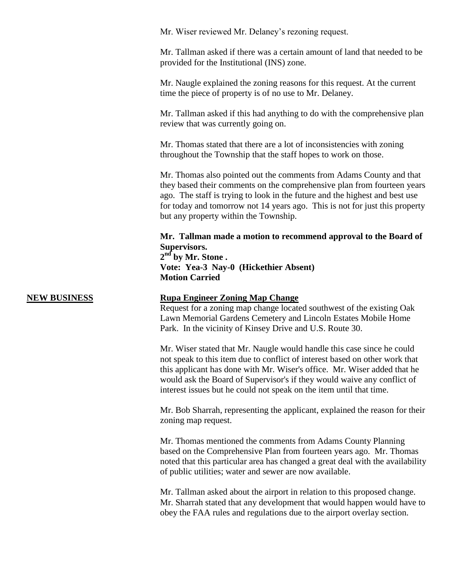Mr. Wiser reviewed Mr. Delaney's rezoning request.

Mr. Tallman asked if there was a certain amount of land that needed to be provided for the Institutional (INS) zone.

Mr. Naugle explained the zoning reasons for this request. At the current time the piece of property is of no use to Mr. Delaney.

Mr. Tallman asked if this had anything to do with the comprehensive plan review that was currently going on.

Mr. Thomas stated that there are a lot of inconsistencies with zoning throughout the Township that the staff hopes to work on those.

Mr. Thomas also pointed out the comments from Adams County and that they based their comments on the comprehensive plan from fourteen years ago. The staff is trying to look in the future and the highest and best use for today and tomorrow not 14 years ago. This is not for just this property but any property within the Township.

**Mr. Tallman made a motion to recommend approval to the Board of Supervisors.**

**2 nd by Mr. Stone . Vote: Yea-3 Nay-0 (Hickethier Absent) Motion Carried**

### **NEW BUSINESS Rupa Engineer Zoning Map Change**

Request for a zoning map change located southwest of the existing Oak Lawn Memorial Gardens Cemetery and Lincoln Estates Mobile Home Park. In the vicinity of Kinsey Drive and U.S. Route 30.

Mr. Wiser stated that Mr. Naugle would handle this case since he could not speak to this item due to conflict of interest based on other work that this applicant has done with Mr. Wiser's office. Mr. Wiser added that he would ask the Board of Supervisor's if they would waive any conflict of interest issues but he could not speak on the item until that time.

Mr. Bob Sharrah, representing the applicant, explained the reason for their zoning map request.

Mr. Thomas mentioned the comments from Adams County Planning based on the Comprehensive Plan from fourteen years ago. Mr. Thomas noted that this particular area has changed a great deal with the availability of public utilities; water and sewer are now available.

Mr. Tallman asked about the airport in relation to this proposed change. Mr. Sharrah stated that any development that would happen would have to obey the FAA rules and regulations due to the airport overlay section.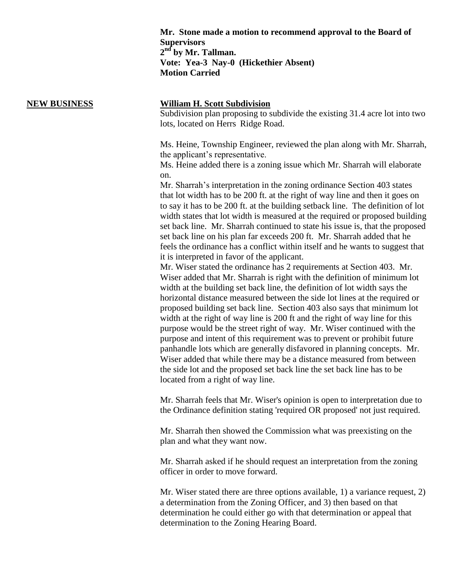**Mr. Stone made a motion to recommend approval to the Board of Supervisors 2 nd by Mr. Tallman. Vote: Yea-3 Nay-0 (Hickethier Absent) Motion Carried**

## **NEW BUSINESS William H. Scott Subdivision**

Subdivision plan proposing to subdivide the existing 31.4 acre lot into two lots, located on Herrs Ridge Road.

Ms. Heine, Township Engineer, reviewed the plan along with Mr. Sharrah, the applicant's representative.

Ms. Heine added there is a zoning issue which Mr. Sharrah will elaborate on.

Mr. Sharrah's interpretation in the zoning ordinance Section 403 states that lot width has to be 200 ft. at the right of way line and then it goes on to say it has to be 200 ft. at the building setback line. The definition of lot width states that lot width is measured at the required or proposed building set back line. Mr. Sharrah continued to state his issue is, that the proposed set back line on his plan far exceeds 200 ft. Mr. Sharrah added that he feels the ordinance has a conflict within itself and he wants to suggest that it is interpreted in favor of the applicant.

Mr. Wiser stated the ordinance has 2 requirements at Section 403. Mr. Wiser added that Mr. Sharrah is right with the definition of minimum lot width at the building set back line, the definition of lot width says the horizontal distance measured between the side lot lines at the required or proposed building set back line. Section 403 also says that minimum lot width at the right of way line is 200 ft and the right of way line for this purpose would be the street right of way. Mr. Wiser continued with the purpose and intent of this requirement was to prevent or prohibit future panhandle lots which are generally disfavored in planning concepts. Mr. Wiser added that while there may be a distance measured from between the side lot and the proposed set back line the set back line has to be located from a right of way line.

Mr. Sharrah feels that Mr. Wiser's opinion is open to interpretation due to the Ordinance definition stating 'required OR proposed' not just required.

Mr. Sharrah then showed the Commission what was preexisting on the plan and what they want now.

Mr. Sharrah asked if he should request an interpretation from the zoning officer in order to move forward.

Mr. Wiser stated there are three options available, 1) a variance request, 2) a determination from the Zoning Officer, and 3) then based on that determination he could either go with that determination or appeal that determination to the Zoning Hearing Board.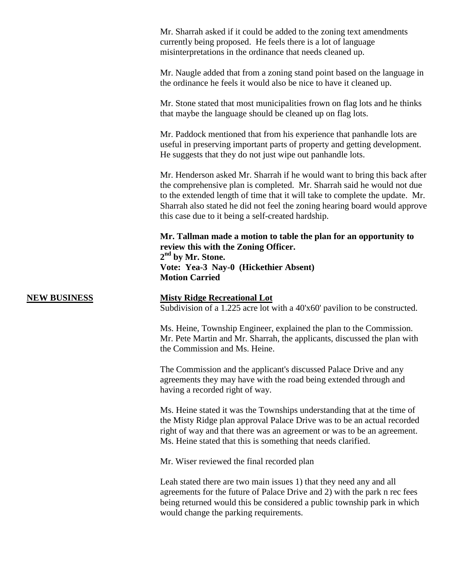Mr. Sharrah asked if it could be added to the zoning text amendments currently being proposed. He feels there is a lot of language misinterpretations in the ordinance that needs cleaned up.

Mr. Naugle added that from a zoning stand point based on the language in the ordinance he feels it would also be nice to have it cleaned up.

Mr. Stone stated that most municipalities frown on flag lots and he thinks that maybe the language should be cleaned up on flag lots.

Mr. Paddock mentioned that from his experience that panhandle lots are useful in preserving important parts of property and getting development. He suggests that they do not just wipe out panhandle lots.

Mr. Henderson asked Mr. Sharrah if he would want to bring this back after the comprehensive plan is completed. Mr. Sharrah said he would not due to the extended length of time that it will take to complete the update. Mr. Sharrah also stated he did not feel the zoning hearing board would approve this case due to it being a self-created hardship.

**Mr. Tallman made a motion to table the plan for an opportunity to review this with the Zoning Officer. 2 nd by Mr. Stone. Vote: Yea-3 Nay-0 (Hickethier Absent) Motion Carried**

### **NEW BUSINESS Misty Ridge Recreational Lot**

Subdivision of a 1.225 acre lot with a 40'x60' pavilion to be constructed.

Ms. Heine, Township Engineer, explained the plan to the Commission. Mr. Pete Martin and Mr. Sharrah, the applicants, discussed the plan with the Commission and Ms. Heine.

The Commission and the applicant's discussed Palace Drive and any agreements they may have with the road being extended through and having a recorded right of way.

Ms. Heine stated it was the Townships understanding that at the time of the Misty Ridge plan approval Palace Drive was to be an actual recorded right of way and that there was an agreement or was to be an agreement. Ms. Heine stated that this is something that needs clarified.

Mr. Wiser reviewed the final recorded plan

Leah stated there are two main issues 1) that they need any and all agreements for the future of Palace Drive and 2) with the park n rec fees being returned would this be considered a public township park in which would change the parking requirements.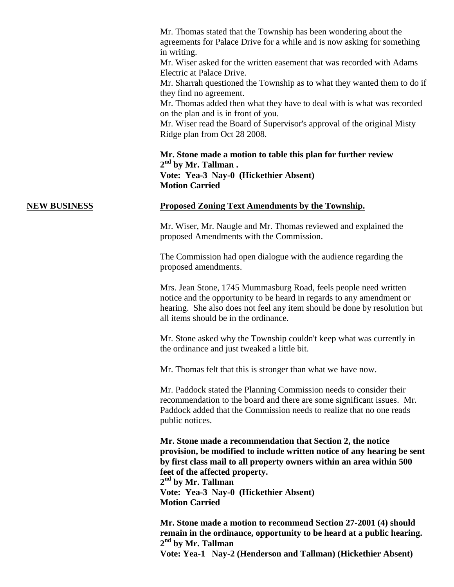Mr. Thomas stated that the Township has been wondering about the agreements for Palace Drive for a while and is now asking for something in writing.

Mr. Wiser asked for the written easement that was recorded with Adams Electric at Palace Drive.

Mr. Sharrah questioned the Township as to what they wanted them to do if they find no agreement.

Mr. Thomas added then what they have to deal with is what was recorded on the plan and is in front of you.

Mr. Wiser read the Board of Supervisor's approval of the original Misty Ridge plan from Oct 28 2008.

**Mr. Stone made a motion to table this plan for further review 2 nd by Mr. Tallman . Vote: Yea-3 Nay-0 (Hickethier Absent) Motion Carried**

### **NEW BUSINESS Proposed Zoning Text Amendments by the Township.**

Mr. Wiser, Mr. Naugle and Mr. Thomas reviewed and explained the proposed Amendments with the Commission.

The Commission had open dialogue with the audience regarding the proposed amendments.

Mrs. Jean Stone, 1745 Mummasburg Road, feels people need written notice and the opportunity to be heard in regards to any amendment or hearing. She also does not feel any item should be done by resolution but all items should be in the ordinance.

Mr. Stone asked why the Township couldn't keep what was currently in the ordinance and just tweaked a little bit.

Mr. Thomas felt that this is stronger than what we have now.

Mr. Paddock stated the Planning Commission needs to consider their recommendation to the board and there are some significant issues. Mr. Paddock added that the Commission needs to realize that no one reads public notices.

**Mr. Stone made a recommendation that Section 2, the notice provision, be modified to include written notice of any hearing be sent by first class mail to all property owners within an area within 500 feet of the affected property. 2 nd by Mr. Tallman Vote: Yea-3 Nay-0 (Hickethier Absent) Motion Carried**

**Mr. Stone made a motion to recommend Section 27-2001 (4) should remain in the ordinance, opportunity to be heard at a public hearing. 2 nd by Mr. Tallman Vote: Yea-1 Nay-2 (Henderson and Tallman) (Hickethier Absent)**